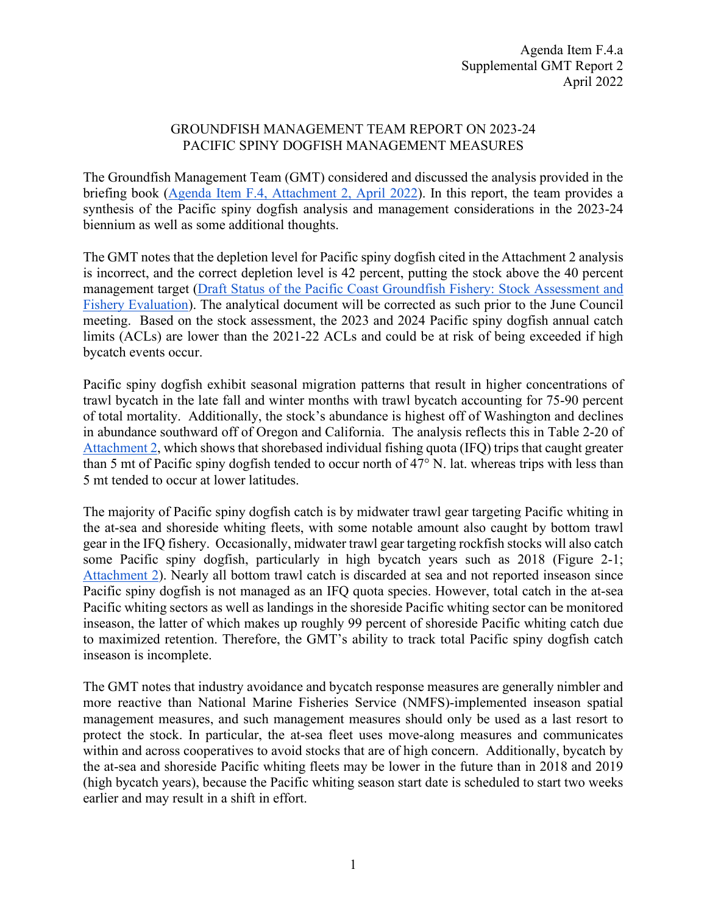## GROUNDFISH MANAGEMENT TEAM REPORT ON 2023-24 PACIFIC SPINY DOGFISH MANAGEMENT MEASURES

The Groundfish Management Team (GMT) considered and discussed the analysis provided in the briefing book [\(Agenda Item F.4, Attachment 2, April 2022\)](https://www.pcouncil.org/documents/2022/03/f-4-attachment-2-2023-2024-management-measure-analytical-document-electronic-only.pdf/). In this report, the team provides a synthesis of the Pacific spiny dogfish analysis and management considerations in the 2023-24 biennium as well as some additional thoughts.

The GMT notes that the depletion level for Pacific spiny dogfish cited in the Attachment 2 analysis is incorrect, and the correct depletion level is 42 percent, putting the stock above the 40 percent management target [\(Draft Status of the Pacific Coast Groundfish Fishery: Stock Assessment and](https://www.pcouncil.org/documents/2022/03/f-3-attachment-2-draft-status-of-the-pacific-coast-groundfish-fishery-stock-assessment-and-fishery-evaluation-electronic-only.pdf/)  [Fishery Evaluation\)](https://www.pcouncil.org/documents/2022/03/f-3-attachment-2-draft-status-of-the-pacific-coast-groundfish-fishery-stock-assessment-and-fishery-evaluation-electronic-only.pdf/). The analytical document will be corrected as such prior to the June Council meeting. Based on the stock assessment, the 2023 and 2024 Pacific spiny dogfish annual catch limits (ACLs) are lower than the 2021-22 ACLs and could be at risk of being exceeded if high bycatch events occur.

Pacific spiny dogfish exhibit seasonal migration patterns that result in higher concentrations of trawl bycatch in the late fall and winter months with trawl bycatch accounting for 75-90 percent of total mortality. Additionally, the stock's abundance is highest off of Washington and declines in abundance southward off of Oregon and California. The analysis reflects this in Table 2-20 of [Attachment 2,](https://www.pcouncil.org/documents/2022/03/f-4-attachment-2-2023-2024-management-measure-analytical-document-electronic-only.pdf/) which shows that shorebased individual fishing quota (IFQ) trips that caught greater than 5 mt of Pacific spiny dogfish tended to occur north of 47° N. lat. whereas trips with less than 5 mt tended to occur at lower latitudes.

The majority of Pacific spiny dogfish catch is by midwater trawl gear targeting Pacific whiting in the at-sea and shoreside whiting fleets, with some notable amount also caught by bottom trawl gear in the IFQ fishery. Occasionally, midwater trawl gear targeting rockfish stocks will also catch some Pacific spiny dogfish, particularly in high bycatch years such as 2018 (Figure 2-1; [Attachment 2\)](https://www.pcouncil.org/documents/2022/03/f-4-attachment-2-2023-2024-management-measure-analytical-document-electronic-only.pdf/). Nearly all bottom trawl catch is discarded at sea and not reported inseason since Pacific spiny dogfish is not managed as an IFQ quota species. However, total catch in the at-sea Pacific whiting sectors as well as landings in the shoreside Pacific whiting sector can be monitored inseason, the latter of which makes up roughly 99 percent of shoreside Pacific whiting catch due to maximized retention. Therefore, the GMT's ability to track total Pacific spiny dogfish catch inseason is incomplete.

The GMT notes that industry avoidance and bycatch response measures are generally nimbler and more reactive than National Marine Fisheries Service (NMFS)-implemented inseason spatial management measures, and such management measures should only be used as a last resort to protect the stock. In particular, the at-sea fleet uses move-along measures and communicates within and across cooperatives to avoid stocks that are of high concern. Additionally, bycatch by the at-sea and shoreside Pacific whiting fleets may be lower in the future than in 2018 and 2019 (high bycatch years), because the Pacific whiting season start date is scheduled to start two weeks earlier and may result in a shift in effort.